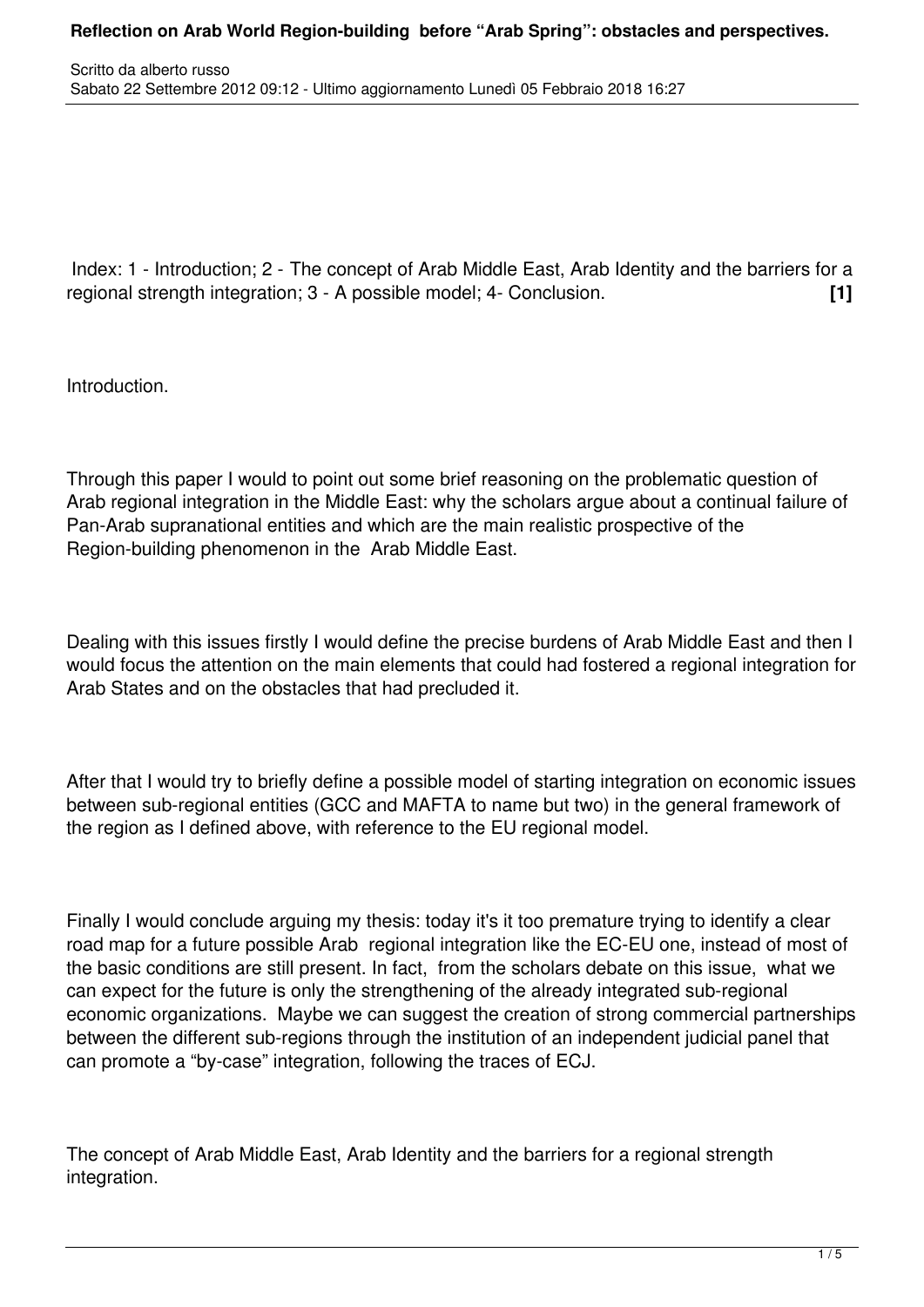Index: 1 - Introduction; 2 - The concept of Arab Middle East, Arab Identity and the barriers for a regional strength integration; 3 - A possible model; 4- Conclusion. **[1]**

Introduction.

Through this paper I would to point out some brief reasoning on the problematic question of Arab regional integration in the Middle East: why the scholars argue about a continual failure of Pan-Arab supranational entities and which are the main realistic prospective of the Region-building phenomenon in the Arab Middle East.

Dealing with this issues firstly I would define the precise burdens of Arab Middle East and then I would focus the attention on the main elements that could had fostered a regional integration for Arab States and on the obstacles that had precluded it.

After that I would try to briefly define a possible model of starting integration on economic issues between sub-regional entities (GCC and MAFTA to name but two) in the general framework of the region as I defined above, with reference to the EU regional model.

Finally I would conclude arguing my thesis: today it's it too premature trying to identify a clear road map for a future possible Arab regional integration like the EC-EU one, instead of most of the basic conditions are still present. In fact, from the scholars debate on this issue, what we can expect for the future is only the strengthening of the already integrated sub-regional economic organizations. Maybe we can suggest the creation of strong commercial partnerships between the different sub-regions through the institution of an independent judicial panel that can promote a "by-case" integration, following the traces of ECJ.

The concept of Arab Middle East, Arab Identity and the barriers for a regional strength integration.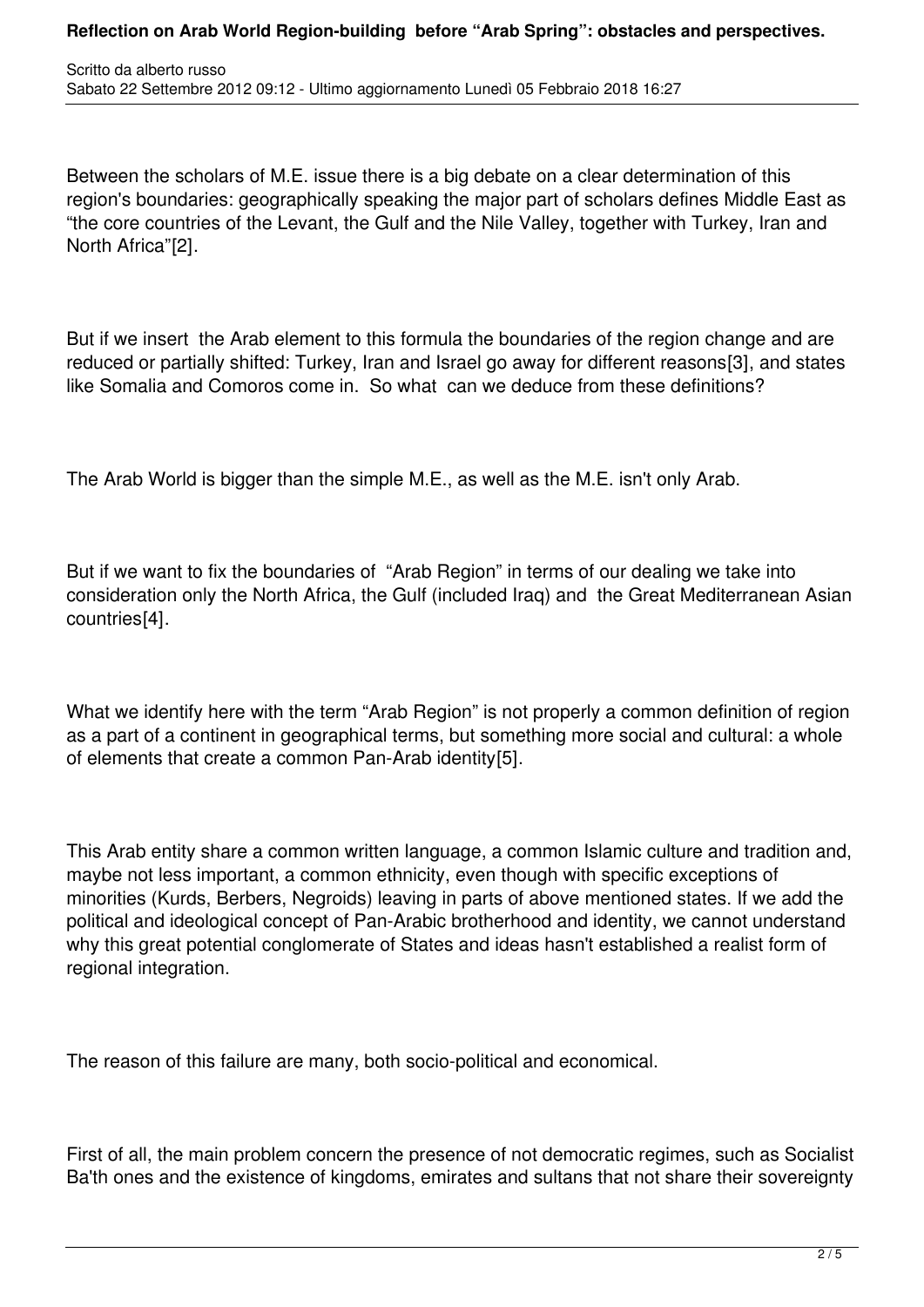Between the scholars of M.E. issue there is a big debate on a clear determination of this region's boundaries: geographically speaking the major part of scholars defines Middle East as "the core countries of the Levant, the Gulf and the Nile Valley, together with Turkey, Iran and North Africa"[2].

But if we insert the Arab element to this formula the boundaries of the region change and are reduced or partially shifted: Turkey, Iran and Israel go away for different reasons[3], and states like Somalia and Comoros come in. So what can we deduce from these definitions?

The Arab World is bigger than the simple M.E., as well as the M.E. isn't only Arab.

But if we want to fix the boundaries of "Arab Region" in terms of our dealing we take into consideration only the North Africa, the Gulf (included Iraq) and the Great Mediterranean Asian countries[4].

What we identify here with the term "Arab Region" is not properly a common definition of region as a part of a continent in geographical terms, but something more social and cultural: a whole of elements that create a common Pan-Arab identity[5].

This Arab entity share a common written language, a common Islamic culture and tradition and, maybe not less important, a common ethnicity, even though with specific exceptions of minorities (Kurds, Berbers, Negroids) leaving in parts of above mentioned states. If we add the political and ideological concept of Pan-Arabic brotherhood and identity, we cannot understand why this great potential conglomerate of States and ideas hasn't established a realist form of regional integration.

The reason of this failure are many, both socio-political and economical.

First of all, the main problem concern the presence of not democratic regimes, such as Socialist Ba'th ones and the existence of kingdoms, emirates and sultans that not share their sovereignty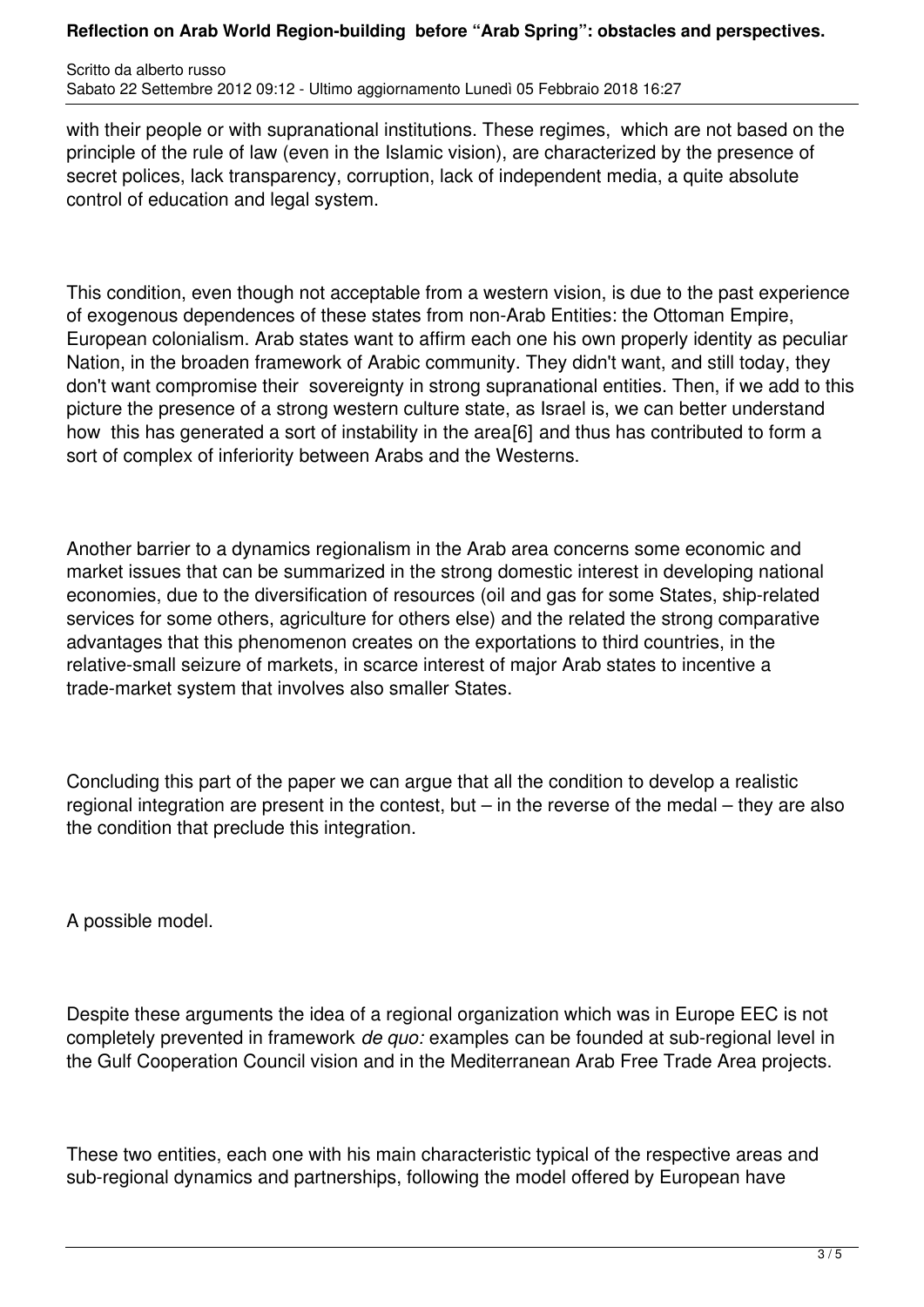## **Reflection on Arab World Region-building before "Arab Spring": obstacles and perspectives.**

Scritto da alberto russo Sabato 22 Settembre 2012 09:12 - Ultimo aggiornamento Lunedì 05 Febbraio 2018 16:27

with their people or with supranational institutions. These regimes, which are not based on the principle of the rule of law (even in the Islamic vision), are characterized by the presence of secret polices, lack transparency, corruption, lack of independent media, a quite absolute control of education and legal system.

This condition, even though not acceptable from a western vision, is due to the past experience of exogenous dependences of these states from non-Arab Entities: the Ottoman Empire, European colonialism. Arab states want to affirm each one his own properly identity as peculiar Nation, in the broaden framework of Arabic community. They didn't want, and still today, they don't want compromise their sovereignty in strong supranational entities. Then, if we add to this picture the presence of a strong western culture state, as Israel is, we can better understand how this has generated a sort of instability in the area<sup>[6]</sup> and thus has contributed to form a sort of complex of inferiority between Arabs and the Westerns.

Another barrier to a dynamics regionalism in the Arab area concerns some economic and market issues that can be summarized in the strong domestic interest in developing national economies, due to the diversification of resources (oil and gas for some States, ship-related services for some others, agriculture for others else) and the related the strong comparative advantages that this phenomenon creates on the exportations to third countries, in the relative-small seizure of markets, in scarce interest of major Arab states to incentive a trade-market system that involves also smaller States.

Concluding this part of the paper we can argue that all the condition to develop a realistic regional integration are present in the contest, but – in the reverse of the medal – they are also the condition that preclude this integration.

A possible model.

Despite these arguments the idea of a regional organization which was in Europe EEC is not completely prevented in framework *de quo:* examples can be founded at sub-regional level in the Gulf Cooperation Council vision and in the Mediterranean Arab Free Trade Area projects.

These two entities, each one with his main characteristic typical of the respective areas and sub-regional dynamics and partnerships, following the model offered by European have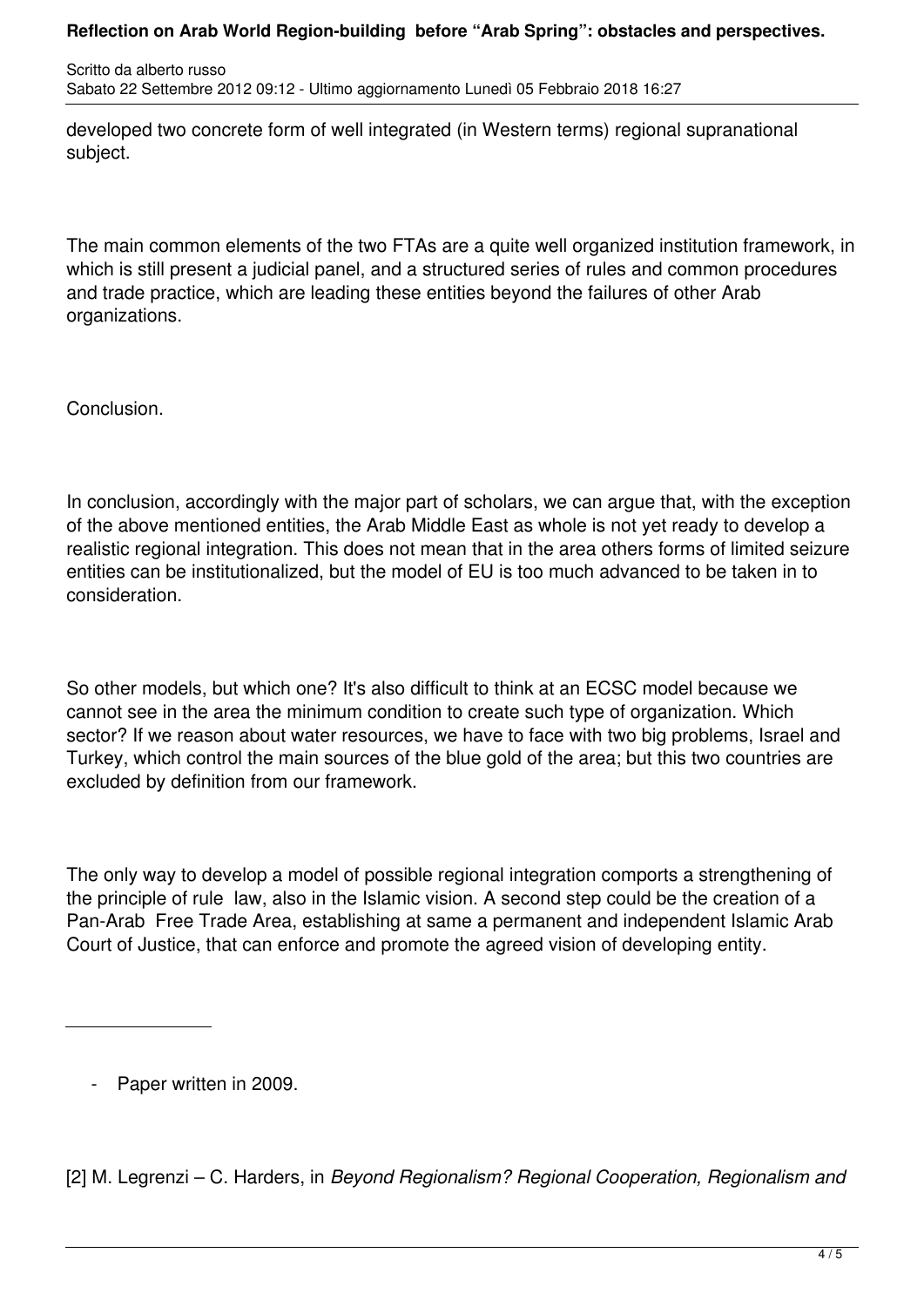## **Reflection on Arab World Region-building before "Arab Spring": obstacles and perspectives.**

Scritto da alberto russo Sabato 22 Settembre 2012 09:12 - Ultimo aggiornamento Lunedì 05 Febbraio 2018 16:27

developed two concrete form of well integrated (in Western terms) regional supranational subject.

The main common elements of the two FTAs are a quite well organized institution framework, in which is still present a judicial panel, and a structured series of rules and common procedures and trade practice, which are leading these entities beyond the failures of other Arab organizations.

Conclusion.

In conclusion, accordingly with the major part of scholars, we can argue that, with the exception of the above mentioned entities, the Arab Middle East as whole is not yet ready to develop a realistic regional integration. This does not mean that in the area others forms of limited seizure entities can be institutionalized, but the model of EU is too much advanced to be taken in to consideration.

So other models, but which one? It's also difficult to think at an ECSC model because we cannot see in the area the minimum condition to create such type of organization. Which sector? If we reason about water resources, we have to face with two big problems, Israel and Turkey, which control the main sources of the blue gold of the area; but this two countries are excluded by definition from our framework.

The only way to develop a model of possible regional integration comports a strengthening of the principle of rule law, also in the Islamic vision. A second step could be the creation of a Pan-Arab Free Trade Area, establishing at same a permanent and independent Islamic Arab Court of Justice, that can enforce and promote the agreed vision of developing entity.

Paper written in 2009.

[2] M. Legrenzi – C. Harders, in *Beyond Regionalism? Regional Cooperation, Regionalism and*